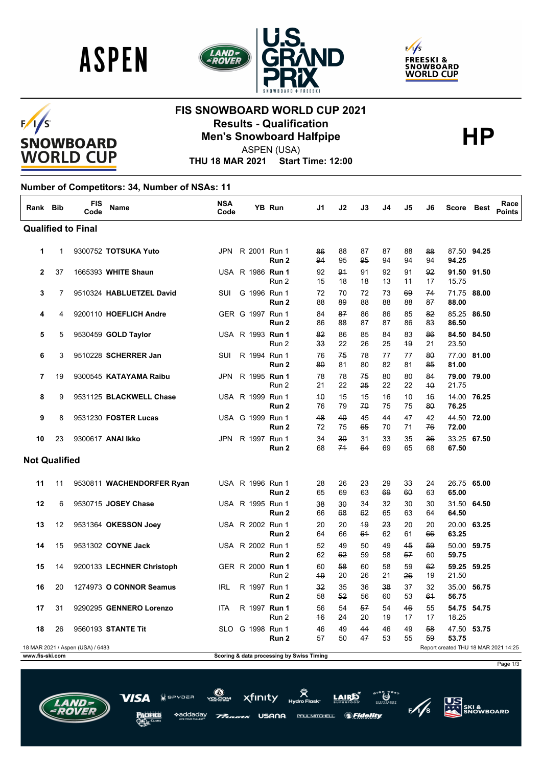





### $F/1/S$ **SNOWBOARD WORLD CUP**

## **FIS SNOWBOARD WORLD CUP 2021 Results - Qualification<br>
Men's Snowboard Halfpipe<br>
ASPEN(USA)**



Page 1/3

**US**<br>ATT SKI &<br>SNOWBOARD

 $\ddot{\bm{\omega}}^{**}$ 

*SFidelity* 

ASPEN (USA)

**THU 18 MAR 2021 Start Time: 12:00**

#### **Number of Competitors: 34, Number of NSAs: 11**

| Rank Bib             |    | <b>FIS</b><br>Code               | <b>Name</b>               | <b>NSA</b><br>Code |                  | <b>YB Run</b>                             | J1       | J2       | J3       | J4       | J5         | J6       | Score Best                           |             | Race<br><b>Points</b> |
|----------------------|----|----------------------------------|---------------------------|--------------------|------------------|-------------------------------------------|----------|----------|----------|----------|------------|----------|--------------------------------------|-------------|-----------------------|
|                      |    | <b>Qualified to Final</b>        |                           |                    |                  |                                           |          |          |          |          |            |          |                                      |             |                       |
| 1                    | 1  |                                  | 9300752 TOTSUKA Yuto      |                    | JPN R 2001 Run 1 | Run 2                                     | 86<br>94 | 88<br>95 | 87<br>95 | 87<br>94 | 88<br>94   | 88<br>94 | 94.25                                | 87.50 94.25 |                       |
| $\mathbf{2}$         | 37 |                                  | 1665393 WHITE Shaun       |                    | USA R 1986 Run 1 | Run 2                                     | 92<br>15 | 91<br>18 | 91<br>48 | 92<br>13 | 91<br>$+4$ | 92<br>17 | 15.75                                | 91.50 91.50 |                       |
| 3                    | 7  |                                  | 9510324 HABLUETZEL David  | SUI                | G 1996 Run 1     | Run <sub>2</sub>                          | 72<br>88 | 70<br>89 | 72<br>88 | 73<br>88 | 69<br>88   | 74<br>87 | 88.00                                | 71.75 88.00 |                       |
| 4                    | 4  |                                  | 9200110 HOEFLICH Andre    |                    | GER G 1997 Run 1 | Run 2                                     | 84<br>86 | 87<br>88 | 86<br>87 | 86<br>87 | 85<br>86   | 82<br>83 | 86.50                                | 85.25 86.50 |                       |
| 5                    | 5  |                                  | 9530459 GOLD Taylor       |                    | USA R 1993 Run 1 | Run 2                                     | 82<br>33 | 86<br>22 | 85<br>26 | 84<br>25 | 83<br>49   | 86<br>21 | 23.50                                | 84.50 84.50 |                       |
| 6                    | 3  |                                  | 9510228 SCHERRER Jan      | SUI                | R 1994 Run 1     | Run 2                                     | 76<br>80 | 75<br>81 | 78<br>80 | 77<br>82 | 77<br>81   | 80<br>85 | 81.00                                | 77.00 81.00 |                       |
| 7                    | 19 |                                  | 9300545 KATAYAMA Raibu    | JPN                | R 1995 Run 1     | Run 2                                     | 78<br>21 | 78<br>22 | 75<br>25 | 80<br>22 | 80<br>22   | 84<br>40 | 21.75                                | 79.00 79.00 |                       |
| 8                    | 9  |                                  | 9531125 BLACKWELL Chase   |                    | USA R 1999 Run 1 | Run 2                                     | 40<br>76 | 15<br>79 | 15<br>70 | 16<br>75 | 10<br>75   | 46<br>80 | 76.25                                | 14.00 76.25 |                       |
| 9                    | 8  |                                  | 9531230 FOSTER Lucas      |                    | USA G 1999 Run 1 | Run 2                                     | 48<br>72 | 40<br>75 | 45<br>65 | 44<br>70 | 47<br>71   | 42<br>76 | 72.00                                | 44.50 72.00 |                       |
| 10                   | 23 |                                  | 9300617 ANAI Ikko         |                    | JPN R 1997 Run 1 | Run 2                                     | 34<br>68 | 30<br>74 | 31<br>64 | 33<br>69 | 35<br>65   | 36<br>68 | 67.50                                | 33.25 67.50 |                       |
| <b>Not Qualified</b> |    |                                  |                           |                    |                  |                                           |          |          |          |          |            |          |                                      |             |                       |
| 11                   | 11 |                                  | 9530811 WACHENDORFER Ryan |                    | USA R 1996 Run 1 | Run 2                                     | 28<br>65 | 26<br>69 | 23<br>63 | 29<br>69 | 33<br>60   | 24<br>63 | 65.00                                | 26.75 65.00 |                       |
| 12                   | 6  |                                  | 9530715 JOSEY Chase       |                    | USA R 1995 Run 1 | Run 2                                     | 38<br>66 | 30<br>68 | 34<br>62 | 32<br>65 | 30<br>63   | 30<br>64 | 64.50                                | 31.50 64.50 |                       |
| 13                   | 12 |                                  | 9531364 OKESSON Joey      |                    | USA R 2002 Run 1 | Run 2                                     | 20<br>64 | 20<br>66 | 49<br>61 | 23<br>62 | 20<br>61   | 20<br>66 | 63.25                                | 20.00 63.25 |                       |
| 14                   | 15 |                                  | 9531302 COYNE Jack        |                    | USA R 2002 Run 1 | Run 2                                     | 52<br>62 | 49<br>62 | 50<br>59 | 49<br>58 | 45<br>57   | 59<br>60 | 59.75                                | 50.00 59.75 |                       |
| 15                   | 14 |                                  | 9200133 LECHNER Christoph |                    | GER R 2000 Run 1 | Run 2                                     | 60<br>49 | 58<br>20 | 60<br>26 | 58<br>21 | 59<br>26   | 62<br>19 | 21.50                                | 59.25 59.25 |                       |
| 16                   | 20 |                                  | 1274973 O CONNOR Seamus   | <b>IRL</b>         | R 1997 Run 1     | Run 2                                     | 32<br>58 | 35<br>52 | 36<br>56 | 38<br>60 | 37<br>53   | 32<br>61 | 56.75                                | 35.00 56.75 |                       |
| 17                   | 31 |                                  | 9290295 GENNERO Lorenzo   | ITA.               | R 1997 Run 1     | Run 2                                     | 56<br>46 | 54<br>24 | 57<br>20 | 54<br>19 | 46<br>17   | 55<br>17 | 18.25                                | 54.75 54.75 |                       |
| 18                   | 26 |                                  | 9560193 STANTE Tit        |                    | SLO G 1998 Run 1 | Run 2                                     | 46<br>57 | 49<br>50 | 44<br>47 | 46<br>53 | 49<br>55   | 58<br>59 | 53.75                                | 47.50 53.75 |                       |
| www.fis-ski.com      |    | 18 MAR 2021 / Aspen (USA) / 6483 |                           |                    |                  | Scoring & data processing by Swiss Timing |          |          |          |          |            |          | Report created THU 18 MAR 2021 14:25 |             |                       |

xfinity

USANA

PAUL MITCHELL

ddadav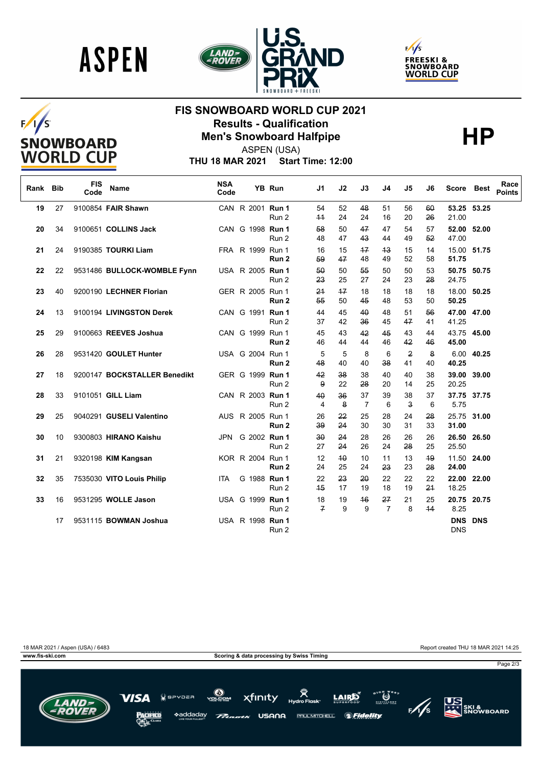





# $F/1/S$ SNOWBOARD<br>WORLD CUP

## **FIS SNOWBOARD WORLD CUP 2021 Results - Qualification<br>
Men's Snowboard Halfpipe<br>
ASPEN(USA)**



ASPEN (USA)

**THU 18 MAR 2021 Start Time: 12:00**

| Rank | <b>Bib</b> | <b>FIS</b><br>Code | <b>Name</b>                  | <b>NSA</b><br>Code |                  | YB Run           | J1                   | J2       | J3                   | J4                   | J5                            | J6       | Score                        | <b>Best</b> | Race<br><b>Points</b> |
|------|------------|--------------------|------------------------------|--------------------|------------------|------------------|----------------------|----------|----------------------|----------------------|-------------------------------|----------|------------------------------|-------------|-----------------------|
| 19   | 27         |                    | 9100854 FAIR Shawn           |                    | CAN R 2001 Run 1 | Run 2            | 54<br>$+4$           | 52<br>24 | 48<br>24             | 51<br>16             | 56<br>20                      | 60<br>26 | 53.25 53.25<br>21.00         |             |                       |
| 20   | 34         |                    | 9100651 COLLINS Jack         |                    | CAN G 1998 Run 1 | Run 2            | 58<br>48             | 50<br>47 | 47<br>43             | 47<br>44             | 54<br>49                      | 57<br>52 | 52.00<br>47.00               | 52.00       |                       |
| 21   | 24         |                    | 9190385 TOURKI Liam          |                    | FRA R 1999 Run 1 | Run 2            | 16<br>59             | 15<br>47 | $+7$<br>48           | 43<br>49             | 15<br>52                      | 14<br>58 | 15.00 51.75<br>51.75         |             |                       |
| 22   | 22         |                    | 9531486 BULLOCK-WOMBLE Fynn  |                    | USA R 2005 Run 1 | Run 2            | 50<br>23             | 50<br>25 | 55<br>27             | 50<br>24             | 50<br>23                      | 53<br>28 | 50.75 50.75<br>24.75         |             |                       |
| 23   | 40         |                    | 9200190 LECHNER Florian      |                    | GER R 2005 Run 1 | Run <sub>2</sub> | 24<br>55             | 17<br>50 | 18<br>45             | 18<br>48             | 18<br>53                      | 18<br>50 | 18.00 50.25<br>50.25         |             |                       |
| 24   | 13         |                    | 9100194 LIVINGSTON Derek     |                    | CAN G 1991 Run 1 | Run 2            | 44<br>37             | 45<br>42 | 40<br>36             | 48<br>45             | 51<br>47                      | 56<br>41 | 47.00 47.00<br>41.25         |             |                       |
| 25   | 29         |                    | 9100663 REEVES Joshua        |                    | CAN G 1999 Run 1 | Run <sub>2</sub> | 45<br>46             | 43<br>44 | 42<br>44             | 45<br>46             | 43<br>42                      | 44<br>46 | 43.75 45.00<br>45.00         |             |                       |
| 26   | 28         |                    | 9531420 GOULET Hunter        |                    | USA G 2004 Run 1 | Run <sub>2</sub> | 5<br>48              | 5<br>40  | 8<br>40              | 6<br>38              | $\overline{2}$<br>41          | 8<br>40  | 40.25                        | 6.00 40.25  |                       |
| 27   | 18         |                    | 9200147 BOCKSTALLER Benedikt |                    | GER G 1999 Run 1 | Run 2            | 42<br>9              | 38<br>22 | 38<br>28             | 40<br>20             | 40<br>14                      | 38<br>25 | 39.00 39.00<br>20.25         |             |                       |
| 28   | 33         |                    | 9101051 GILL Liam            |                    | CAN R 2003 Run 1 | Run 2            | 40<br>$\overline{4}$ | 36<br>8  | 37<br>$\overline{7}$ | 39<br>6              | 38<br>$\overline{\mathbf{3}}$ | 37<br>6  | 37.75 37.75<br>5.75          |             |                       |
| 29   | 25         |                    | 9040291 GUSELI Valentino     |                    | AUS R 2005 Run 1 | Run <sub>2</sub> | 26<br>39             | 22<br>24 | 25<br>30             | 28<br>30             | 24<br>31                      | 28<br>33 | 25.75<br>31.00               | 31.00       |                       |
| 30   | 10         |                    | 9300803 HIRANO Kaishu        | JPN                | G 2002 Run 1     | Run 2            | 30<br>27             | 24<br>24 | 28<br>26             | 26<br>24             | 26<br>28                      | 26<br>25 | 26.50 26.50<br>25.50         |             |                       |
| 31   | 21         |                    | 9320198 KIM Kangsan          |                    | KOR R 2004 Run 1 | Run <sub>2</sub> | 12<br>24             | 40<br>25 | 10<br>24             | 11<br>23             | 13<br>23                      | 49<br>28 | 11.50 24.00<br>24.00         |             |                       |
| 32   | 35         |                    | 7535030 VITO Louis Philip    | <b>ITA</b>         | G 1988 Run 1     | Run 2            | 22<br>45             | 23<br>17 | 20<br>19             | 22<br>18             | 22<br>19                      | 22<br>24 | 22.00 22.00<br>18.25         |             |                       |
| 33   | 16         |                    | 9531295 WOLLE Jason          |                    | USA G 1999 Run 1 | Run 2            | 18<br>$\overline{f}$ | 19<br>9  | 46<br>9              | 27<br>$\overline{7}$ | 21<br>8                       | 25<br>44 | 20.75 20.75<br>8.25          |             |                       |
|      | 17         |                    | 9531115 BOWMAN Joshua        |                    | USA R 1998 Run 1 | Run 2            |                      |          |                      |                      |                               |          | <b>DNS DNS</b><br><b>DNS</b> |             |                       |